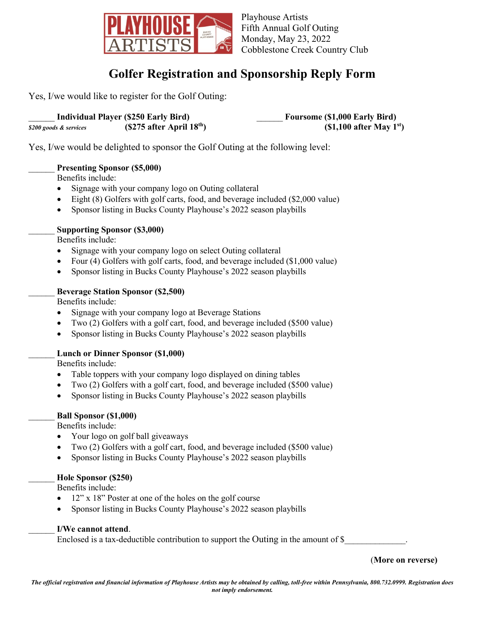

Playhouse Artists Fifth Annual Golf Outing Monday, May 23, 2022 Cobblestone Creek Country Club

# **Golfer Registration and Sponsorship Reply Form**

Yes, I/we would like to register for the Golf Outing:

|                        | <b>Individual Player (\$250 Early Bird)</b> | <b>Foursome (\$1,000 Early Bird)</b> |
|------------------------|---------------------------------------------|--------------------------------------|
| \$200 goods & services | $(S275$ after April $18th$ )                | $(1,100$ after May 1 <sup>st</sup> ) |

Yes, I/we would be delighted to sponsor the Golf Outing at the following level:

### \_\_\_\_\_\_ **Presenting Sponsor (\$5,000)**

Benefits include:

- Signage with your company logo on Outing collateral
- Eight (8) Golfers with golf carts, food, and beverage included (\$2,000 value)
- Sponsor listing in Bucks County Playhouse's 2022 season playbills

#### \_\_\_\_\_\_ **Supporting Sponsor (\$3,000)**

Benefits include:

- Signage with your company logo on select Outing collateral
- Four (4) Golfers with golf carts, food, and beverage included (\$1,000 value)
- Sponsor listing in Bucks County Playhouse's 2022 season playbills

#### \_\_\_\_\_\_ **Beverage Station Sponsor (\$2,500)**

Benefits include:

- Signage with your company logo at Beverage Stations
- Two (2) Golfers with a golf cart, food, and beverage included (\$500 value)
- Sponsor listing in Bucks County Playhouse's 2022 season playbills

#### \_\_\_\_\_\_ **Lunch or Dinner Sponsor (\$1,000)**

Benefits include:

- Table toppers with your company logo displayed on dining tables
- Two (2) Golfers with a golf cart, food, and beverage included (\$500 value)
- Sponsor listing in Bucks County Playhouse's 2022 season playbills

#### \_\_\_\_\_\_ **Ball Sponsor (\$1,000)**

Benefits include:

- Your logo on golf ball giveaways
- Two (2) Golfers with a golf cart, food, and beverage included (\$500 value)
- Sponsor listing in Bucks County Playhouse's 2022 season playbills

### \_\_\_\_\_\_ **Hole Sponsor (\$250)**

Benefits include:

- 12" x 18" Poster at one of the holes on the golf course
- Sponsor listing in Bucks County Playhouse's 2022 season playbills

#### \_\_\_\_\_\_ **I/We cannot attend**.

Enclosed is a tax-deductible contribution to support the Outing in the amount of  $\$$ 

(**More on reverse)**